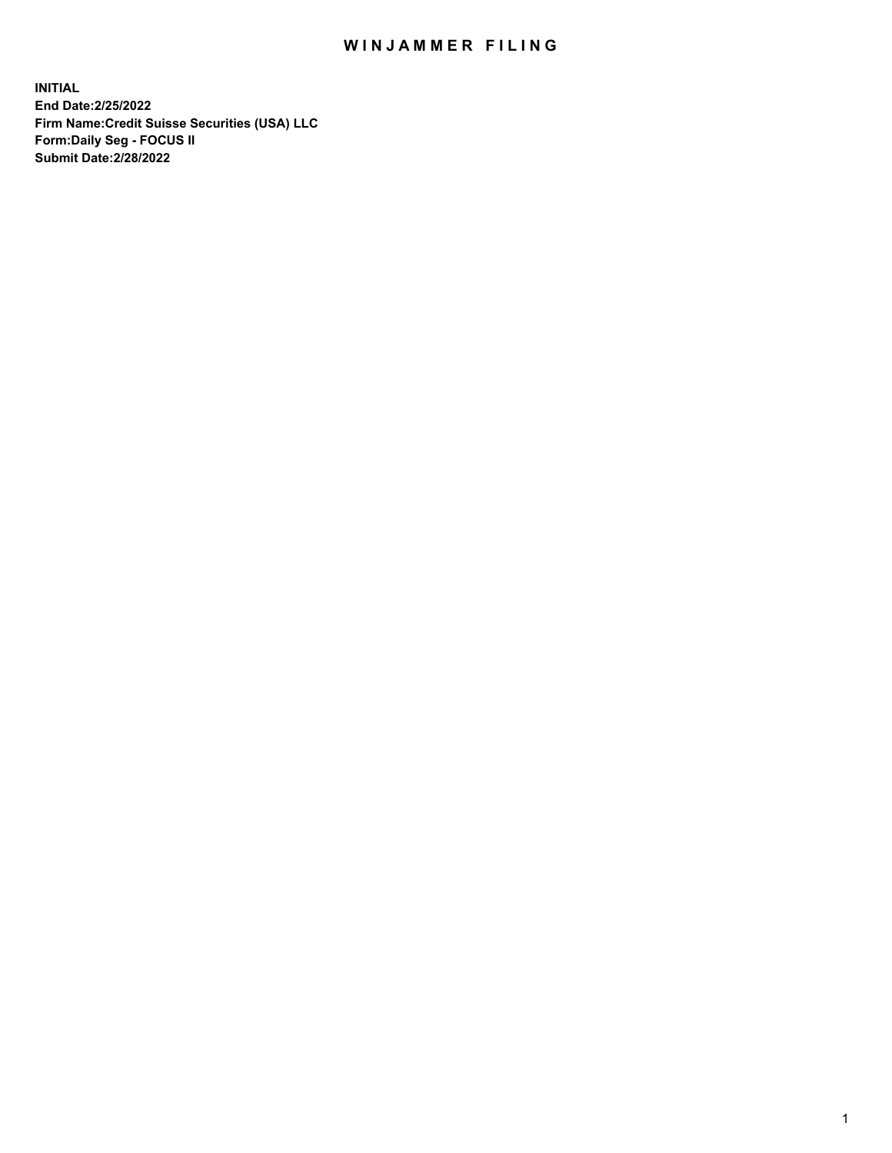## WIN JAMMER FILING

**INITIAL End Date:2/25/2022 Firm Name:Credit Suisse Securities (USA) LLC Form:Daily Seg - FOCUS II Submit Date:2/28/2022**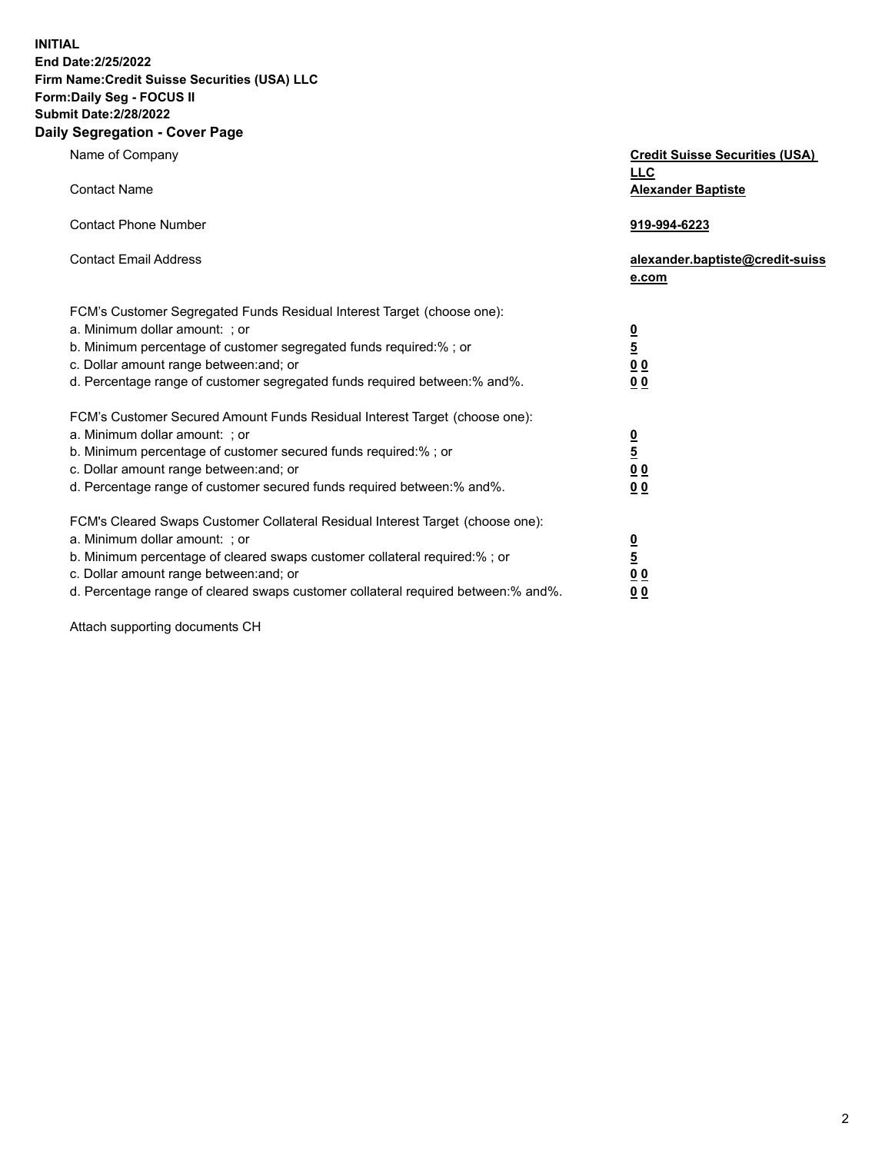**INITIAL**

## **End Date:2/25/2022 Firm Name:Credit Suisse Securities (USA) LLC Form:Daily Seg - FOCUS II Submit Date:2/28/2022**

## **Daily Segregation - Cover Page**

| Name of Company<br><b>Contact Name</b>                                                                                                                                                                                                                                                                                         | <b>Credit Suisse Securities (USA)</b><br><b>LLC</b><br><b>Alexander Baptiste</b> |
|--------------------------------------------------------------------------------------------------------------------------------------------------------------------------------------------------------------------------------------------------------------------------------------------------------------------------------|----------------------------------------------------------------------------------|
| <b>Contact Phone Number</b>                                                                                                                                                                                                                                                                                                    | 919-994-6223                                                                     |
| <b>Contact Email Address</b>                                                                                                                                                                                                                                                                                                   | alexander.baptiste@credit-suiss<br>e.com                                         |
| FCM's Customer Segregated Funds Residual Interest Target (choose one):<br>a. Minimum dollar amount: ; or<br>b. Minimum percentage of customer segregated funds required:% ; or<br>c. Dollar amount range between: and; or<br>d. Percentage range of customer segregated funds required between: % and %.                       | $\frac{0}{\frac{5}{0}}$<br>0 <sub>0</sub>                                        |
| FCM's Customer Secured Amount Funds Residual Interest Target (choose one):<br>a. Minimum dollar amount: ; or<br>b. Minimum percentage of customer secured funds required:% ; or<br>c. Dollar amount range between: and; or<br>d. Percentage range of customer secured funds required between:% and%.                           | $\frac{0}{5}$<br>$\underline{0} \underline{0}$<br>0 <sub>0</sub>                 |
| FCM's Cleared Swaps Customer Collateral Residual Interest Target (choose one):<br>a. Minimum dollar amount: ; or<br>b. Minimum percentage of cleared swaps customer collateral required:% ; or<br>c. Dollar amount range between: and; or<br>d. Percentage range of cleared swaps customer collateral required between:% and%. | $\frac{0}{5}$<br>0 <sub>0</sub><br>0 <sub>0</sub>                                |

Attach supporting documents CH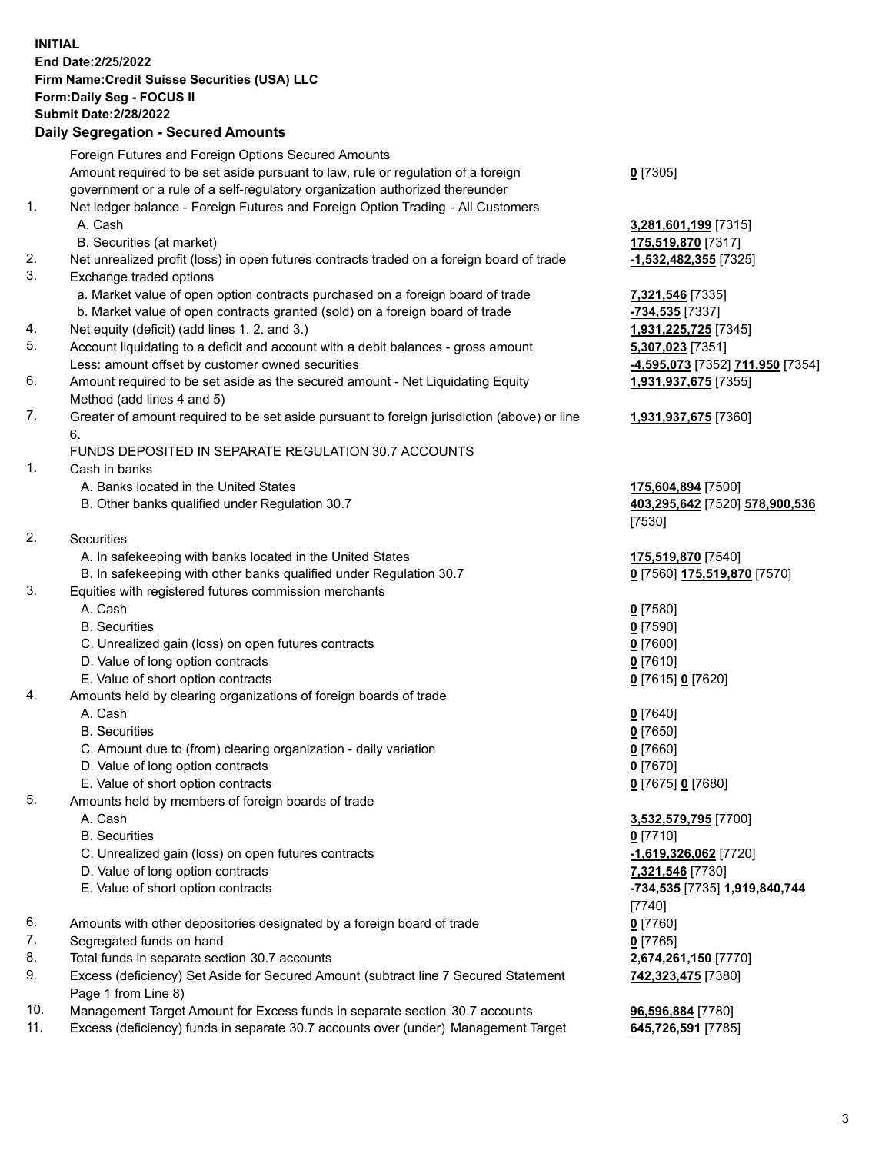**INITIAL End Date:2/25/2022 Firm Name:Credit Suisse Securities (USA) LLC Form:Daily Seg - FOCUS II Submit Date:2/28/2022**

## **Daily Segregation - Secured Amounts**

|     | Foreign Futures and Foreign Options Secured Amounts                                         |                                  |
|-----|---------------------------------------------------------------------------------------------|----------------------------------|
|     | Amount required to be set aside pursuant to law, rule or regulation of a foreign            | $0$ [7305]                       |
|     | government or a rule of a self-regulatory organization authorized thereunder                |                                  |
| 1.  | Net ledger balance - Foreign Futures and Foreign Option Trading - All Customers             |                                  |
|     | A. Cash                                                                                     | 3,281,601,199 [7315]             |
|     | B. Securities (at market)                                                                   | 175,519,870 [7317]               |
| 2.  | Net unrealized profit (loss) in open futures contracts traded on a foreign board of trade   | -1,532,482,355 [7325]            |
| 3.  | Exchange traded options                                                                     |                                  |
|     | a. Market value of open option contracts purchased on a foreign board of trade              | 7,321,546 [7335]                 |
|     |                                                                                             |                                  |
| 4.  | b. Market value of open contracts granted (sold) on a foreign board of trade                | -734,535 [7337]                  |
|     | Net equity (deficit) (add lines 1. 2. and 3.)                                               | 1,931,225,725 [7345]             |
| 5.  | Account liquidating to a deficit and account with a debit balances - gross amount           | 5,307,023 [7351]                 |
|     | Less: amount offset by customer owned securities                                            | -4,595,073 [7352] 711,950 [7354] |
| 6.  | Amount required to be set aside as the secured amount - Net Liquidating Equity              | 1,931,937,675 [7355]             |
|     | Method (add lines 4 and 5)                                                                  |                                  |
| 7.  | Greater of amount required to be set aside pursuant to foreign jurisdiction (above) or line | 1,931,937,675 [7360]             |
|     | 6.                                                                                          |                                  |
|     | FUNDS DEPOSITED IN SEPARATE REGULATION 30.7 ACCOUNTS                                        |                                  |
| 1.  | Cash in banks                                                                               |                                  |
|     | A. Banks located in the United States                                                       | 175,604,894 [7500]               |
|     | B. Other banks qualified under Regulation 30.7                                              | 403,295,642 [7520] 578,900,536   |
|     |                                                                                             | [7530]                           |
| 2.  | Securities                                                                                  |                                  |
|     | A. In safekeeping with banks located in the United States                                   | 175,519,870 [7540]               |
|     | B. In safekeeping with other banks qualified under Regulation 30.7                          | 0 [7560] 175,519,870 [7570]      |
| 3.  | Equities with registered futures commission merchants                                       |                                  |
|     | A. Cash                                                                                     | $0$ [7580]                       |
|     | <b>B.</b> Securities                                                                        | $0$ [7590]                       |
|     | C. Unrealized gain (loss) on open futures contracts                                         | $0$ [7600]                       |
|     | D. Value of long option contracts                                                           | $0$ [7610]                       |
|     | E. Value of short option contracts                                                          |                                  |
| 4.  |                                                                                             | 0 [7615] 0 [7620]                |
|     | Amounts held by clearing organizations of foreign boards of trade                           |                                  |
|     | A. Cash                                                                                     | $0$ [7640]                       |
|     | <b>B.</b> Securities                                                                        | $0$ [7650]                       |
|     | C. Amount due to (from) clearing organization - daily variation                             | $0$ [7660]                       |
|     | D. Value of long option contracts                                                           | $0$ [7670]                       |
|     | E. Value of short option contracts                                                          | 0 [7675] 0 [7680]                |
| 5.  | Amounts held by members of foreign boards of trade                                          |                                  |
|     | A. Cash                                                                                     | 3,532,579,795 [7700]             |
|     | <b>B.</b> Securities                                                                        | $0$ [7710]                       |
|     | C. Unrealized gain (loss) on open futures contracts                                         | -1,619,326,062 [7720]            |
|     | D. Value of long option contracts                                                           | 7,321,546 [7730]                 |
|     | E. Value of short option contracts                                                          | -734,535 [7735] 1,919,840,744    |
|     |                                                                                             | [7740]                           |
| 6.  | Amounts with other depositories designated by a foreign board of trade                      | $0$ [7760]                       |
| 7.  | Segregated funds on hand                                                                    | $0$ [7765]                       |
| 8.  | Total funds in separate section 30.7 accounts                                               | 2,674,261,150 [7770]             |
| 9.  | Excess (deficiency) Set Aside for Secured Amount (subtract line 7 Secured Statement         | 742,323,475 [7380]               |
|     | Page 1 from Line 8)                                                                         |                                  |
| 10. | Management Target Amount for Excess funds in separate section 30.7 accounts                 | 96,596,884 [7780]                |
| 11. | Excess (deficiency) funds in separate 30.7 accounts over (under) Management Target          | 645,726,591 [7785]               |
|     |                                                                                             |                                  |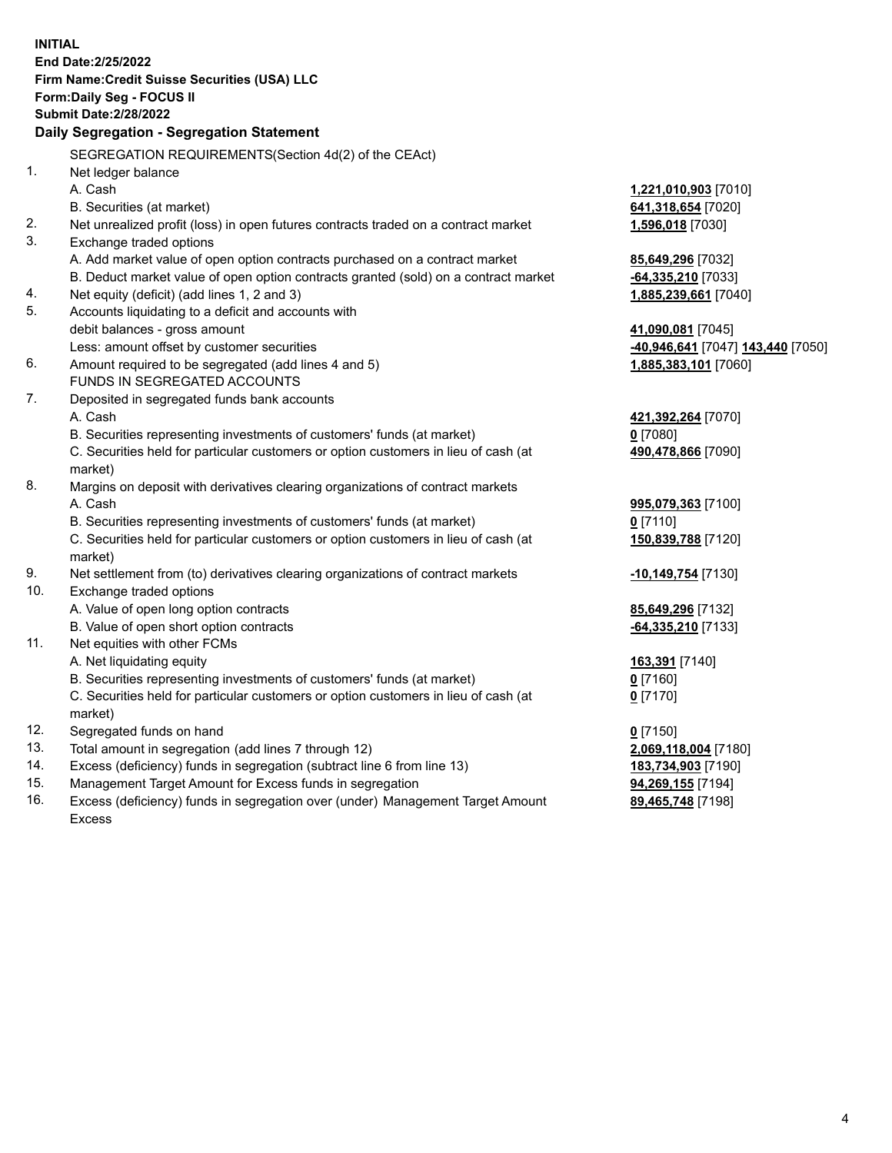|     | <b>INITIAL</b>                                                                                             |                                         |
|-----|------------------------------------------------------------------------------------------------------------|-----------------------------------------|
|     | End Date: 2/25/2022                                                                                        |                                         |
|     | Firm Name: Credit Suisse Securities (USA) LLC                                                              |                                         |
|     | Form: Daily Seg - FOCUS II                                                                                 |                                         |
|     | <b>Submit Date:2/28/2022</b>                                                                               |                                         |
|     | Daily Segregation - Segregation Statement                                                                  |                                         |
|     | SEGREGATION REQUIREMENTS(Section 4d(2) of the CEAct)                                                       |                                         |
| 1.  | Net ledger balance                                                                                         |                                         |
|     | A. Cash                                                                                                    | 1,221,010,903 [7010]                    |
|     | B. Securities (at market)                                                                                  | 641,318,654 [7020]                      |
| 2.  | Net unrealized profit (loss) in open futures contracts traded on a contract market                         | 1,596,018 [7030]                        |
| 3.  | Exchange traded options                                                                                    |                                         |
|     | A. Add market value of open option contracts purchased on a contract market                                | 85,649,296 [7032]                       |
|     | B. Deduct market value of open option contracts granted (sold) on a contract market                        | -64,335,210 [7033]                      |
| 4.  | Net equity (deficit) (add lines 1, 2 and 3)                                                                | 1,885,239,661 [7040]                    |
| 5.  | Accounts liquidating to a deficit and accounts with                                                        |                                         |
|     | debit balances - gross amount                                                                              | 41,090,081 [7045]                       |
|     | Less: amount offset by customer securities                                                                 | -40,946,641 [7047] 143,440 [7050]       |
| 6.  | Amount required to be segregated (add lines 4 and 5)                                                       | 1,885,383,101 [7060]                    |
|     | FUNDS IN SEGREGATED ACCOUNTS                                                                               |                                         |
| 7.  | Deposited in segregated funds bank accounts                                                                |                                         |
|     | A. Cash                                                                                                    | 421,392,264 [7070]                      |
|     | B. Securities representing investments of customers' funds (at market)                                     | $0$ [7080]                              |
|     | C. Securities held for particular customers or option customers in lieu of cash (at                        | 490,478,866 [7090]                      |
| 8.  | market)                                                                                                    |                                         |
|     | Margins on deposit with derivatives clearing organizations of contract markets                             |                                         |
|     | A. Cash                                                                                                    | 995,079,363 [7100]                      |
|     | B. Securities representing investments of customers' funds (at market)                                     | $0$ [7110]                              |
|     | C. Securities held for particular customers or option customers in lieu of cash (at                        | 150,839,788 [7120]                      |
| 9.  | market)                                                                                                    |                                         |
| 10. | Net settlement from (to) derivatives clearing organizations of contract markets<br>Exchange traded options | -10,149,754 [7130]                      |
|     | A. Value of open long option contracts                                                                     |                                         |
|     | B. Value of open short option contracts                                                                    | 85,649,296 [7132]<br>-64,335,210 [7133] |
| 11. | Net equities with other FCMs                                                                               |                                         |
|     | A. Net liquidating equity                                                                                  | 163,391 [7140]                          |
|     | B. Securities representing investments of customers' funds (at market)                                     | $0$ [7160]                              |
|     | C. Securities held for particular customers or option customers in lieu of cash (at                        | $0$ [7170]                              |
|     | market)                                                                                                    |                                         |
| 12. | Segregated funds on hand                                                                                   | $0$ [7150]                              |
| 13. | Total amount in segregation (add lines 7 through 12)                                                       | 2,069,118,004 [7180]                    |
| 14. | Excess (deficiency) funds in segregation (subtract line 6 from line 13)                                    | 183,734,903 [7190]                      |
| 15. | Management Target Amount for Excess funds in segregation                                                   | 94,269,155 [7194]                       |
| 16. | Excess (deficiency) funds in segregation over (under) Management Target Amount                             | 89,465,748 [7198]                       |
|     | <b>Excess</b>                                                                                              |                                         |